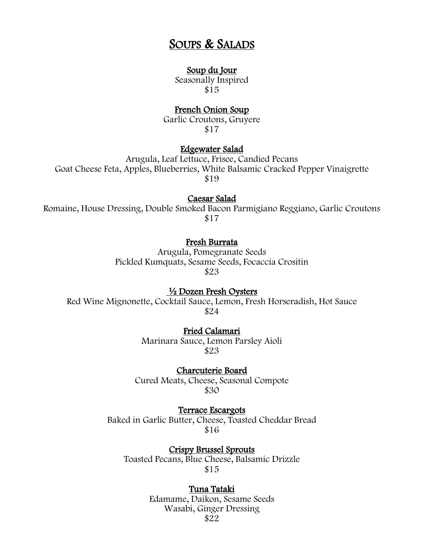# SOUPS & SALADS

## Soup du Jour

Seasonally Inspired \$15

## French Onion Soup

Garlic Croutons, Gruyere \$17

## Edgewater Salad

Arugula, Leaf Lettuce, Frisee, Candied Pecans Goat Cheese Feta, Apples, Blueberries, White Balsamic Cracked Pepper Vinaigrette \$19

#### Caesar Salad

Romaine, House Dressing, Double Smoked Bacon Parmigiano Reggiano, Garlic Croutons \$17

# Fresh Burrata

Arugula, Pomegranate Seeds Pickled Kumquats, Sesame Seeds, Focaccia Crositin \$23

½ Dozen Fresh Oysters

Red Wine Mignonette, Cocktail Sauce, Lemon, Fresh Horseradish, Hot Sauce \$24

## Fried Calamari

Marinara Sauce, Lemon Parsley Aioli \$23

Charcuterie Board Cured Meats, Cheese, Seasonal Compote \$30

Terrace Escargots Baked in Garlic Butter, Cheese, Toasted Cheddar Bread \$16

Crispy Brussel Sprouts Toasted Pecans, Blue Cheese, Balsamic Drizzle \$15

## Tuna Tataki

Edamame, Daikon, Sesame Seeds Wasabi, Ginger Dressing \$22